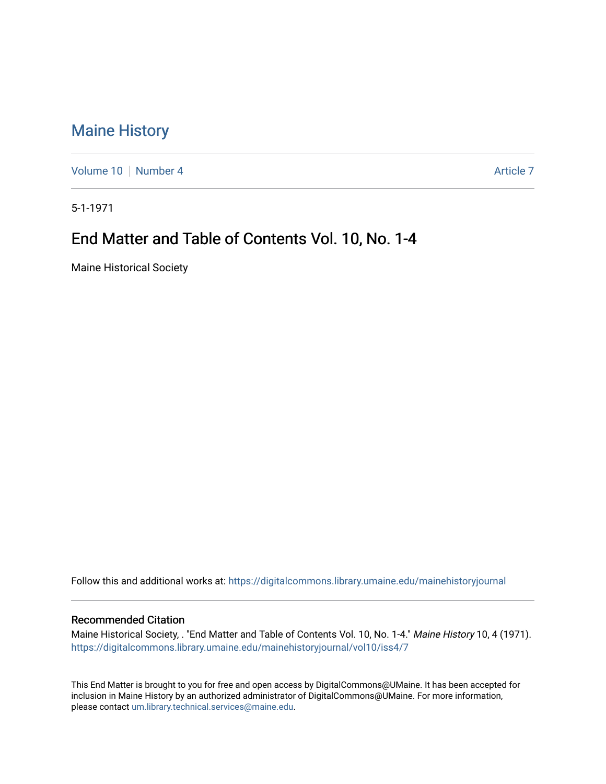## [Maine History](https://digitalcommons.library.umaine.edu/mainehistoryjournal)

[Volume 10](https://digitalcommons.library.umaine.edu/mainehistoryjournal/vol10) [Number 4](https://digitalcommons.library.umaine.edu/mainehistoryjournal/vol10/iss4) Article 7

5-1-1971

# End Matter and Table of Contents Vol. 10, No. 1-4

Maine Historical Society

Follow this and additional works at: [https://digitalcommons.library.umaine.edu/mainehistoryjournal](https://digitalcommons.library.umaine.edu/mainehistoryjournal?utm_source=digitalcommons.library.umaine.edu%2Fmainehistoryjournal%2Fvol10%2Fiss4%2F7&utm_medium=PDF&utm_campaign=PDFCoverPages) 

#### Recommended Citation

Maine Historical Society, . "End Matter and Table of Contents Vol. 10, No. 1-4." Maine History 10, 4 (1971). [https://digitalcommons.library.umaine.edu/mainehistoryjournal/vol10/iss4/7](https://digitalcommons.library.umaine.edu/mainehistoryjournal/vol10/iss4/7?utm_source=digitalcommons.library.umaine.edu%2Fmainehistoryjournal%2Fvol10%2Fiss4%2F7&utm_medium=PDF&utm_campaign=PDFCoverPages)

This End Matter is brought to you for free and open access by DigitalCommons@UMaine. It has been accepted for inclusion in Maine History by an authorized administrator of DigitalCommons@UMaine. For more information, please contact [um.library.technical.services@maine.edu.](mailto:um.library.technical.services@maine.edu)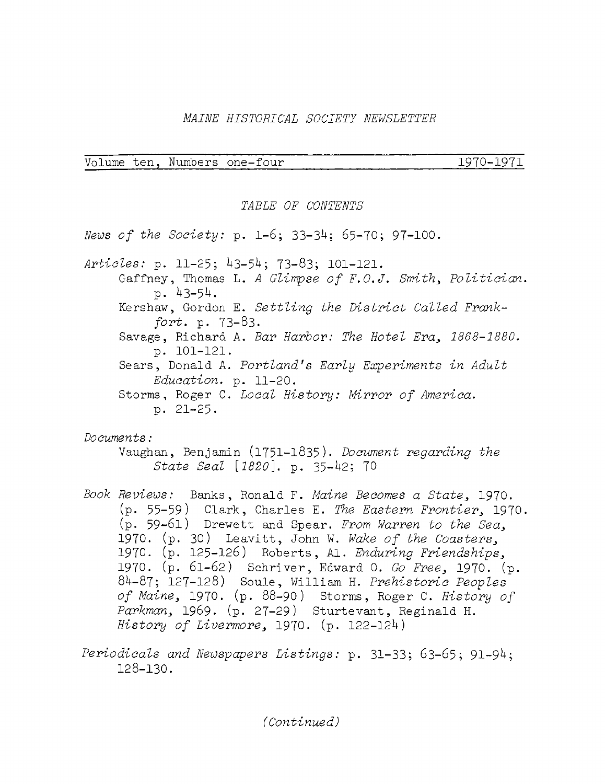### *MAINE HISTORICAL SOCIETY NEWSLETTER*

|  | Volume ten, Numbers one-four | 1970–1971 |
|--|------------------------------|-----------|
|  |                              |           |

#### *TABLE OF CONTENTS*

*News of the Society:* p. 1-6; 33-3^; 65-70; 97-100.

Articles: p. 11-25; 43-54; 73-83; 101-121. Gaffney, Thomas L. *<sup>A</sup> Glimpse of F.O.J. Smith, Politician.* p.  $43-54.$ Kershaw, Gordon E. *Settling the District Called Frankfort.* p. 73-83. Savage, Richard A. *Bar Harbor: The Hotel Era, 1868-2880. p. 101-121.* Sears, Donald A. *Portland's Early Experiments in Adult Education,* p. 11-20. Storms, Roger C. *Local History: Mirror of America.* p. 21-25.

*Documents:*

Vaughan, Benjamin (1751-1835). *Document regarding the State Seal [1820].* p. 35-^2; 70

- *Book Reviews:* Banks, Ronald F. *Maine Becomes a State,* 1970. (p. <sup>55</sup>—<sup>59</sup> ) Clark, Charles E. *The Eastern Frontier,* 1970. (p. 59-61) Drewett and Spear. *From Warren to the Sea,* 1970. (p. 30) Leavitt, John W. *Wake of the Coasters,* 1970. (p. 125-126) Roberts , Al. *Enduring Friendships,* 1970. (p. 61-62) Schriver, Edward 0. *Go Free,* 1970. (p. 8^-87; 127-128) Soule, William H. *Prehistoric Peoples of Maine,* 1970. (p. 88-90) Storms, Roger C. *History of Parkman,* 1969. (p. 27-29) Sturtevant, Reginald H. *History of Livermore,* 1970. (p. 122-12U)
- *Periodicals and Newspapers Listings:* p. 31-33; 63-65; 91-9^; 128-130.